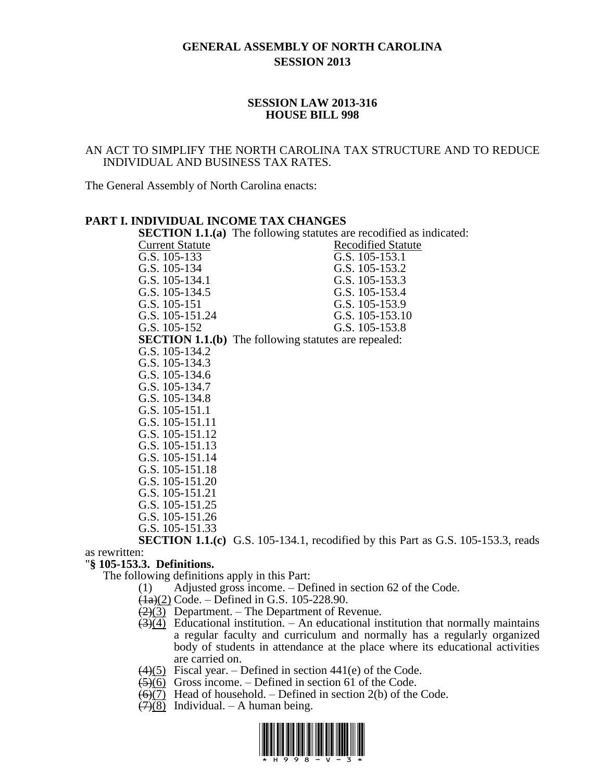# **GENERAL ASSEMBLY OF NORTH CAROLINA SESSION 2013**

#### **SESSION LAW 2013-316 HOUSE BILL 998**

### AN ACT TO SIMPLIFY THE NORTH CAROLINA TAX STRUCTURE AND TO REDUCE INDIVIDUAL AND BUSINESS TAX RATES.

The General Assembly of North Carolina enacts:

### **PART I. INDIVIDUAL INCOME TAX CHANGES**

|                        | <b>SECTION 1.1.(a)</b> The following statutes are recodified as indicated: |
|------------------------|----------------------------------------------------------------------------|
| <b>Current Statute</b> | <b>Recodified Statute</b>                                                  |
| G.S. 105-133           | G.S. 105-153.1                                                             |
| G.S. 105-134           | G.S. 105-153.2                                                             |
| G.S. 105-134.1         | G.S. 105-153.3                                                             |
| G.S. 105-134.5         | G.S. 105-153.4                                                             |
| G.S. 105-151           | G.S. 105-153.9                                                             |
| G.S. 105-151.24        | G.S. 105-153.10                                                            |
| G.S. 105-152           | G.S. 105-153.8                                                             |
|                        | <b>SECTION 1.1.(b)</b> The following statutes are repealed:                |
| G.S. 105-134.2         |                                                                            |
| G.S. 105-134.3         |                                                                            |
| G.S. 105-134.6         |                                                                            |
| G.S. 105-134.7         |                                                                            |
| G.S. 105-134.8         |                                                                            |
| G.S. 105-151.1         |                                                                            |
| G.S. 105-151.11        |                                                                            |
| G.S. 105-151.12        |                                                                            |
| G.S. 105-151.13        |                                                                            |
| G.S. 105-151.14        |                                                                            |
| G.S. 105-151.18        |                                                                            |
| G.S. 105-151.20        |                                                                            |
| G.S. 105-151.21        |                                                                            |
| G.S. 105-151.25        |                                                                            |
| G.S. 105-151.26        |                                                                            |
| G.S. 105-151.33        |                                                                            |

**SECTION 1.1.(c)** G.S. 105-134.1, recodified by this Part as G.S. 105-153.3, reads as rewritten:

### "**§ 105-153.3. Definitions.**

The following definitions apply in this Part:

(1) Adjusted gross income. – Defined in section 62 of the Code.

- $\frac{(1a)(2)}{2c}$  Code. Defined in G.S. 105-228.90.
- $\left(\frac{2}{3}\right)$  Department. The Department of Revenue.
- $\overline{(3)(4)}$  Educational institution. An educational institution that normally maintains a regular faculty and curriculum and normally has a regularly organized body of students in attendance at the place where its educational activities are carried on.
- $\left(4\right)$ (5) Fiscal year. Defined in section 441(e) of the Code.
- $\left(\frac{5}{6}\right)$  Gross income. Defined in section 61 of the Code.
- $\left(\frac{6}{7}\right)$  Head of household. Defined in section 2(b) of the Code.
- $(7)(8)$  Individual. A human being.

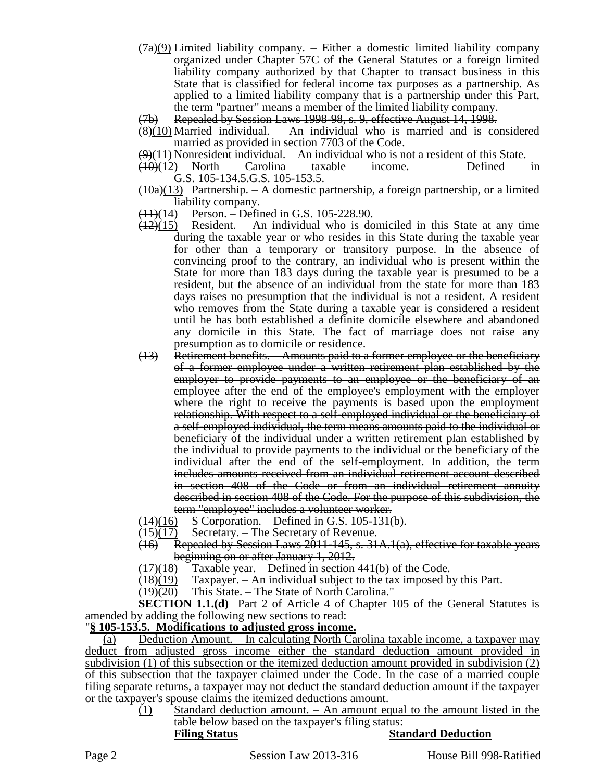- $(7a)(9)$  Limited liability company. Either a domestic limited liability company organized under Chapter 57C of the General Statutes or a foreign limited liability company authorized by that Chapter to transact business in this State that is classified for federal income tax purposes as a partnership. As applied to a limited liability company that is a partnership under this Part, the term "partner" means a member of the limited liability company.
- (7b) Repealed by Session Laws 1998-98, s. 9, effective August 14, 1998.
- $(8)(10)$  Married individual. An individual who is married and is considered married as provided in section 7703 of the Code.
- $(9)(11)$  Nonresident individual. An individual who is not a resident of this State.
- $(10)(12)$  North Carolina taxable income. Defined in G.S. 105-134.5.G.S. 105-153.5.
- $(10a)(13)$  Partnership. A domestic partnership, a foreign partnership, or a limited liability company.
- $(11)(14)$  Person. Defined in G.S. 105-228.90.
- $(12)(15)$  Resident. An individual who is domiciled in this State at any time during the taxable year or who resides in this State during the taxable year for other than a temporary or transitory purpose. In the absence of convincing proof to the contrary, an individual who is present within the State for more than 183 days during the taxable year is presumed to be a resident, but the absence of an individual from the state for more than 183 days raises no presumption that the individual is not a resident. A resident who removes from the State during a taxable year is considered a resident until he has both established a definite domicile elsewhere and abandoned any domicile in this State. The fact of marriage does not raise any presumption as to domicile or residence.
- (13) Retirement benefits. Amounts paid to a former employee or the beneficiary of a former employee under a written retirement plan established by the employer to provide payments to an employee or the beneficiary of an employee after the end of the employee's employment with the employer where the right to receive the payments is based upon the employment relationship. With respect to a self-employed individual or the beneficiary of a self-employed individual, the term means amounts paid to the individual or beneficiary of the individual under a written retirement plan established by the individual to provide payments to the individual or the beneficiary of the individual after the end of the self-employment. In addition, the term includes amounts received from an individual retirement account described in section 408 of the Code or from an individual retirement annuity described in section 408 of the Code. For the purpose of this subdivision, the term "employee" includes a volunteer worker.
- $(14)(16)$  S Corporation. Defined in G.S. 105-131(b).
- $(15)(17)$  Secretary. The Secretary of Revenue.
- (16) Repealed by Session Laws 2011-145, s. 31A.1(a), effective for taxable years beginning on or after January 1, 2012.
- $(17)(18)$  Taxable year. Defined in section 441(b) of the Code.
- $\frac{(18)(19)}{2}$  Taxpayer. An individual subject to the tax imposed by this Part.
- $\frac{(19)(20)}{19}$  This State. The State of North Carolina."

**SECTION 1.1.(d)** Part 2 of Article 4 of Chapter 105 of the General Statutes is amended by adding the following new sections to read:

# "**§ 105-153.5. Modifications to adjusted gross income.**

(a) Deduction Amount. – In calculating North Carolina taxable income, a taxpayer may deduct from adjusted gross income either the standard deduction amount provided in subdivision (1) of this subsection or the itemized deduction amount provided in subdivision (2) of this subsection that the taxpayer claimed under the Code. In the case of a married couple filing separate returns, a taxpayer may not deduct the standard deduction amount if the taxpayer or the taxpayer's spouse claims the itemized deductions amount.

> $(1)$  Standard deduction amount. – An amount equal to the amount listed in the table below based on the taxpayer's filing status: **Filing Status Standard Deduction**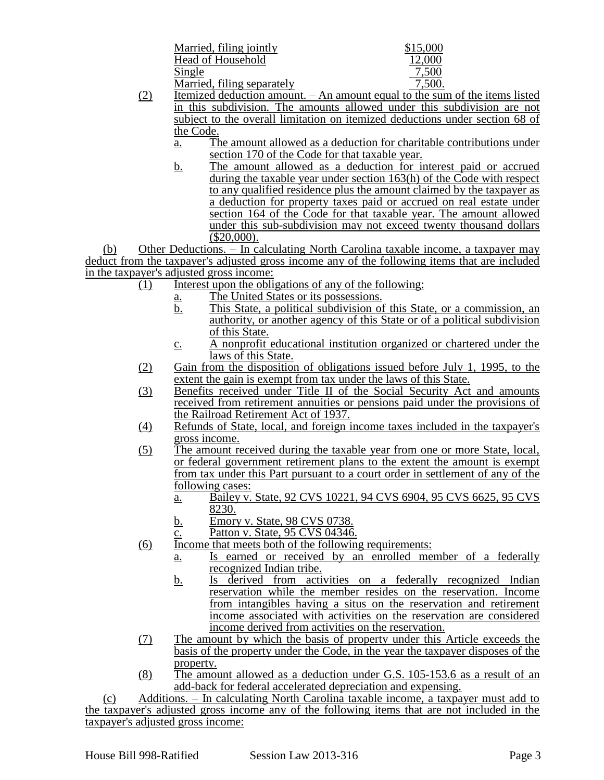| Married, filing jointly    | \$15,000 |
|----------------------------|----------|
| Head of Household          | 12,000   |
| Single                     | 7,500    |
| Married, filing separately | 7,500.   |

- (2) Itemized deduction amount. An amount equal to the sum of the items listed in this subdivision. The amounts allowed under this subdivision are not subject to the overall limitation on itemized deductions under section 68 of the Code.
	- a. The amount allowed as a deduction for charitable contributions under section 170 of the Code for that taxable year.
	- b. The amount allowed as a deduction for interest paid or accrued during the taxable year under section 163(h) of the Code with respect to any qualified residence plus the amount claimed by the taxpayer as a deduction for property taxes paid or accrued on real estate under section 164 of the Code for that taxable year. The amount allowed under this sub-subdivision may not exceed twenty thousand dollars (\$20,000).

(b) Other Deductions. – In calculating North Carolina taxable income, a taxpayer may deduct from the taxpayer's adjusted gross income any of the following items that are included in the taxpayer's adjusted gross income:

- $(1)$  Interest upon the obligations of any of the following:
	- a. The United States or its possessions.
	- b. This State, a political subdivision of this State, or a commission, an authority, or another agency of this State or of a political subdivision of this State.
	- c. A nonprofit educational institution organized or chartered under the laws of this State.
- (2) Gain from the disposition of obligations issued before July 1, 1995, to the extent the gain is exempt from tax under the laws of this State.
- (3) Benefits received under Title II of the Social Security Act and amounts received from retirement annuities or pensions paid under the provisions of the Railroad Retirement Act of 1937.
- (4) Refunds of State, local, and foreign income taxes included in the taxpayer's gross income.
- (5) The amount received during the taxable year from one or more State, local, or federal government retirement plans to the extent the amount is exempt from tax under this Part pursuant to a court order in settlement of any of the following cases:
	- a. Bailey v. State, 92 CVS 10221, 94 CVS 6904, 95 CVS 6625, 95 CVS 8230.
	- b. Emory v. State, 98 CVS 0738.
	- $\overline{c}$ . Patton v. State, 95 CVS 04346.
- (6) Income that meets both of the following requirements:
	- a. Is earned or received by an enrolled member of a federally recognized Indian tribe.
	- b. Is derived from activities on a federally recognized Indian reservation while the member resides on the reservation. Income from intangibles having a situs on the reservation and retirement income associated with activities on the reservation are considered income derived from activities on the reservation.
- (7) The amount by which the basis of property under this Article exceeds the basis of the property under the Code, in the year the taxpayer disposes of the property.
- (8) The amount allowed as a deduction under G.S. 105-153.6 as a result of an add-back for federal accelerated depreciation and expensing.

(c) Additions. – In calculating North Carolina taxable income, a taxpayer must add to the taxpayer's adjusted gross income any of the following items that are not included in the taxpayer's adjusted gross income: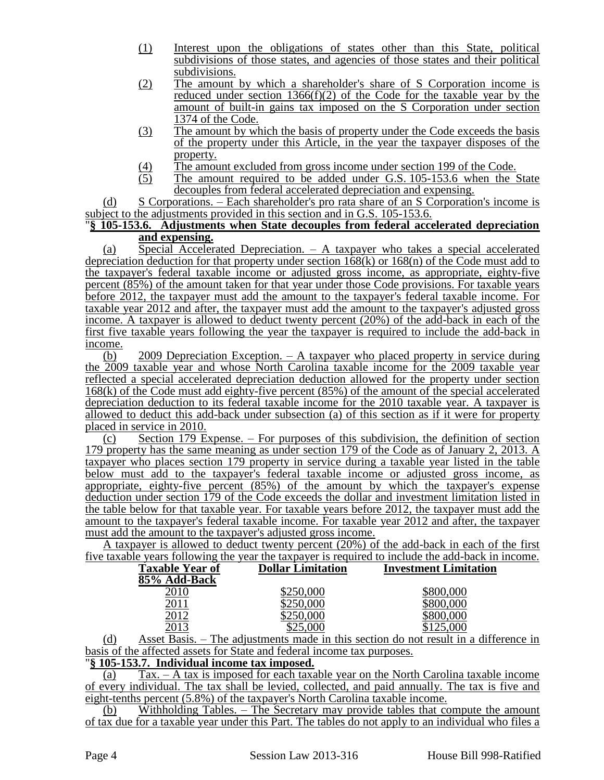- (1) Interest upon the obligations of states other than this State, political subdivisions of those states, and agencies of those states and their political subdivisions.
- (2) The amount by which a shareholder's share of S Corporation income is reduced under section 1366(f)(2) of the Code for the taxable year by the amount of built-in gains tax imposed on the S Corporation under section 1374 of the Code.
- (3) The amount by which the basis of property under the Code exceeds the basis of the property under this Article, in the year the taxpayer disposes of the property.
- $\frac{(4)}{(5)}$  The amount excluded from gross income under section 199 of the Code.<br>The amount required to be added under G.S. 105-153.6 when the S
- The amount required to be added under G.S. 105-153.6 when the State decouples from federal accelerated depreciation and expensing.

(d) S Corporations. – Each shareholder's pro rata share of an S Corporation's income is subject to the adjustments provided in this section and in G.S. 105-153.6.

### "**§ 105-153.6. Adjustments when State decouples from federal accelerated depreciation and expensing.**

(a) Special Accelerated Depreciation. – A taxpayer who takes a special accelerated depreciation deduction for that property under section  $168(k)$  or  $168(n)$  of the Code must add to the taxpayer's federal taxable income or adjusted gross income, as appropriate, eighty-five percent (85%) of the amount taken for that year under those Code provisions. For taxable years before 2012, the taxpayer must add the amount to the taxpayer's federal taxable income. For taxable year 2012 and after, the taxpayer must add the amount to the taxpayer's adjusted gross income. A taxpayer is allowed to deduct twenty percent (20%) of the add-back in each of the first five taxable years following the year the taxpayer is required to include the add-back in income.

(b) 2009 Depreciation Exception. – A taxpayer who placed property in service during the 2009 taxable year and whose North Carolina taxable income for the 2009 taxable year reflected a special accelerated depreciation deduction allowed for the property under section 168(k) of the Code must add eighty-five percent (85%) of the amount of the special accelerated depreciation deduction to its federal taxable income for the 2010 taxable year. A taxpayer is allowed to deduct this add-back under subsection (a) of this section as if it were for property placed in service in 2010.

(c) Section 179 Expense. – For purposes of this subdivision, the definition of section 179 property has the same meaning as under section 179 of the Code as of January 2, 2013. A taxpayer who places section 179 property in service during a taxable year listed in the table below must add to the taxpayer's federal taxable income or adjusted gross income, as appropriate, eighty-five percent (85%) of the amount by which the taxpayer's expense deduction under section 179 of the Code exceeds the dollar and investment limitation listed in the table below for that taxable year. For taxable years before 2012, the taxpayer must add the amount to the taxpayer's federal taxable income. For taxable year 2012 and after, the taxpayer must add the amount to the taxpayer's adjusted gross income.

A taxpayer is allowed to deduct twenty percent (20%) of the add-back in each of the first five taxable years following the year the taxpayer is required to include the add-back in income.

| Taxable Year of | <b>Dollar Limitation</b> | <b>Investment Limitation</b> |
|-----------------|--------------------------|------------------------------|
| 85% Add-Back    |                          |                              |
|                 | \$250,000                | \$800,000                    |
|                 | \$250,000                | \$800,000                    |
|                 | \$250,000                | \$800,000                    |
|                 | \$25,000                 | \$125,000                    |
|                 | - -                      | ----                         |

(d) Asset Basis. – The adjustments made in this section do not result in a difference in basis of the affected assets for State and federal income tax purposes.

### "**§ 105-153.7. Individual income tax imposed.**

(a) Tax. – A tax is imposed for each taxable year on the North Carolina taxable income of every individual. The tax shall be levied, collected, and paid annually. The tax is five and eight-tenths percent (5.8%) of the taxpayer's North Carolina taxable income.

(b) Withholding Tables. – The Secretary may provide tables that compute the amount of tax due for a taxable year under this Part. The tables do not apply to an individual who files a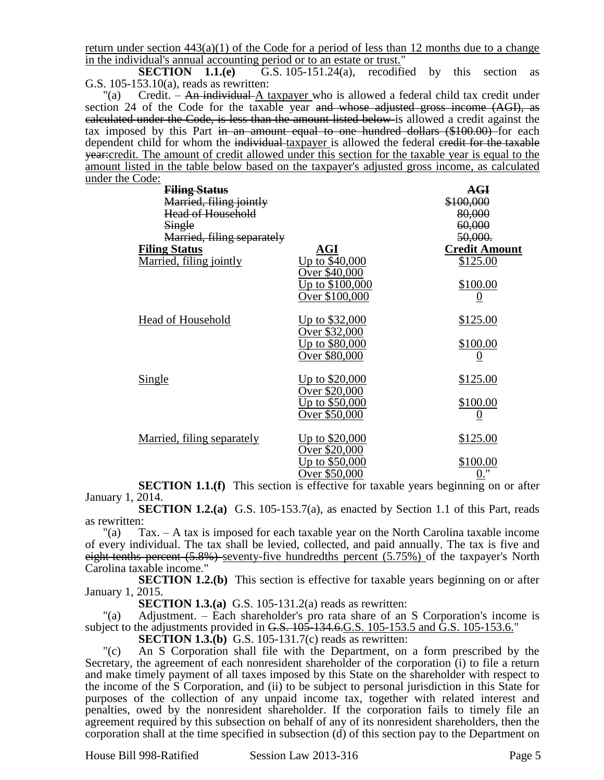return under section  $443(a)(1)$  of the Code for a period of less than 12 months due to a change in the individual's annual accounting period or to an estate or trust."<br>**SECTION** 1.1.(e)  $\overline{G.S. 105-151.24(a)}$ , recodifiently

G.S. 105-151.24(a), recodified by this section as G.S. 105-153.10(a), reads as rewritten:

"(a) Credit. – An individual A taxpayer who is allowed a federal child tax credit under section 24 of the Code for the taxable year and whose adjusted gross income (AGI), as calculated under the Code, is less than the amount listed below is allowed a credit against the tax imposed by this Part in an amount equal to one hundred dollars (\$100.00) for each dependent child for whom the individual taxpayer is allowed the federal credit for the taxable year:credit. The amount of credit allowed under this section for the taxable year is equal to the amount listed in the table below based on the taxpayer's adjusted gross income, as calculated under the Code:

| <b>Filing Status</b><br>Married, filing jointly |                            | <b>AGI</b><br>\$100,000 |
|-------------------------------------------------|----------------------------|-------------------------|
| Head of Household                               |                            | 80,000                  |
| Single                                          |                            | 60,000                  |
| Married, filing separately                      |                            | 50,000.                 |
| <b>Filing Status</b>                            | AGI                        | <b>Credit Amount</b>    |
| Married, filing jointly                         | Up to $\overline{$40,000}$ | \$125.00                |
|                                                 | Over \$40,000              |                         |
|                                                 | <u>Up to \$100,000</u>     | \$100.00                |
|                                                 | Over \$100,000             | $\boldsymbol{0}$        |
| Head of Household                               | <u>Up to \$32,000</u>      | <u>\$125.00</u>         |
|                                                 | Over \$32,000              |                         |
|                                                 | <u> Up to \$80,000</u>     | \$100.00                |
|                                                 | Over \$80,000              |                         |
| <b>Single</b>                                   | <u>Up to \$20,000</u>      | \$125.00                |
|                                                 | Over \$20,000              |                         |
|                                                 | <u>Up to \$50,000</u>      | <u>\$100.00</u>         |
|                                                 | Over \$50,000              | $\boldsymbol{0}$        |
| Married, filing separately                      | <u>Up to \$20,000</u>      | <u>\$125.00</u>         |
|                                                 | Over \$20,000              |                         |
|                                                 | <u>Up to \$50,000</u>      | \$100.00                |
|                                                 | Over \$50,000              | $0.$ "                  |
|                                                 |                            |                         |

**SECTION 1.1.(f)** This section is effective for taxable years beginning on or after January 1, 2014.

**SECTION 1.2.(a)** G.S. 105-153.7(a), as enacted by Section 1.1 of this Part, reads as rewritten:

"(a)  $\text{Tax.} - \text{A tax}$  is imposed for each taxable year on the North Carolina taxable income of every individual. The tax shall be levied, collected, and paid annually. The tax is five and eight-tenths percent (5.8%) seventy-five hundredths percent (5.75%) of the taxpayer's North Carolina taxable income."

**SECTION 1.2.(b)** This section is effective for taxable years beginning on or after January 1, 2015.

**SECTION 1.3.(a)** G.S. 105-131.2(a) reads as rewritten:

"(a) Adjustment. – Each shareholder's pro rata share of an S Corporation's income is subject to the adjustments provided in G.S. 105-134.6. G.S. 105-153.5 and G.S. 105-153.6."

**SECTION 1.3.(b)** G.S. 105-131.7(c) reads as rewritten:

"(c) An S Corporation shall file with the Department, on a form prescribed by the Secretary, the agreement of each nonresident shareholder of the corporation (i) to file a return and make timely payment of all taxes imposed by this State on the shareholder with respect to the income of the S Corporation, and (ii) to be subject to personal jurisdiction in this State for purposes of the collection of any unpaid income tax, together with related interest and penalties, owed by the nonresident shareholder. If the corporation fails to timely file an agreement required by this subsection on behalf of any of its nonresident shareholders, then the corporation shall at the time specified in subsection (d) of this section pay to the Department on

House Bill 998-Ratified Session Law 2013-316 Page 5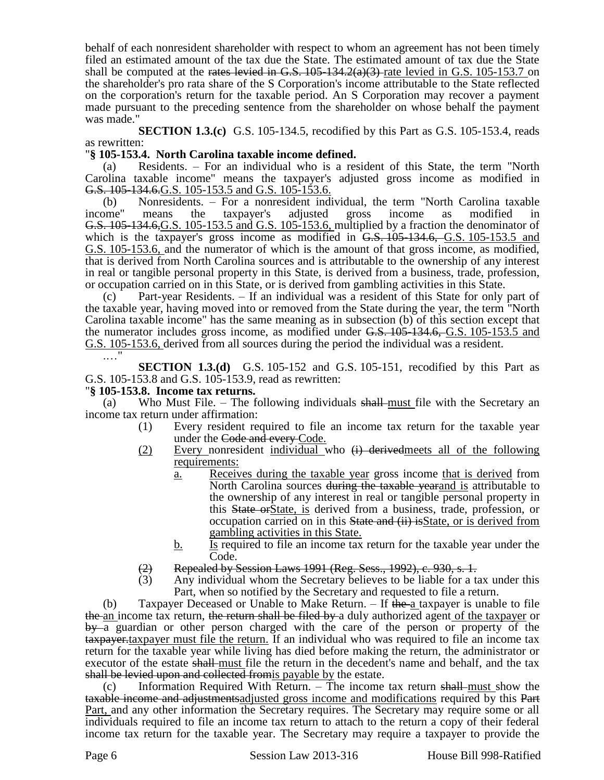behalf of each nonresident shareholder with respect to whom an agreement has not been timely filed an estimated amount of the tax due the State. The estimated amount of tax due the State shall be computed at the rates levied in G.S.  $105-134.2(a)(3)$  rate levied in G.S. 105-153.7 on the shareholder's pro rata share of the S Corporation's income attributable to the State reflected on the corporation's return for the taxable period. An S Corporation may recover a payment made pursuant to the preceding sentence from the shareholder on whose behalf the payment was made."

**SECTION 1.3.(c)** G.S. 105-134.5, recodified by this Part as G.S. 105-153.4, reads as rewritten:

### "**§ 105-153.4. North Carolina taxable income defined.**

(a) Residents. – For an individual who is a resident of this State, the term "North Carolina taxable income" means the taxpayer's adjusted gross income as modified in G.S. 105-134.6.G.S. 105-153.5 and G.S. 105-153.6.

(b) Nonresidents. – For a nonresident individual, the term "North Carolina taxable income" means the taxpayer's adjusted gross income as modified in G.S. 105-134.6,G.S. 105-153.5 and G.S. 105-153.6, multiplied by a fraction the denominator of which is the taxpayer's gross income as modified in  $G.S. 105-134.6$ ,  $G.S. 105-153.5$  and G.S. 105-153.6, and the numerator of which is the amount of that gross income, as modified, that is derived from North Carolina sources and is attributable to the ownership of any interest in real or tangible personal property in this State, is derived from a business, trade, profession, or occupation carried on in this State, or is derived from gambling activities in this State.

(c) Part-year Residents. – If an individual was a resident of this State for only part of the taxable year, having moved into or removed from the State during the year, the term "North Carolina taxable income" has the same meaning as in subsection (b) of this section except that the numerator includes gross income, as modified under G.S. 105-134.6, G.S. 105-153.5 and G.S. 105-153.6, derived from all sources during the period the individual was a resident.

.…"

**SECTION 1.3.(d)** G.S. 105-152 and G.S. 105-151, recodified by this Part as G.S. 105-153.8 and G.S. 105-153.9, read as rewritten:

### "**§ 105-153.8. Income tax returns.**

(a) Who Must File. – The following individuals  $shall$ -must file with the Secretary an income tax return under affirmation:

- (1) Every resident required to file an income tax return for the taxable year under the Code and every Code.
- (2) Every nonresident individual who  $\overrightarrow{H}$  derived meets all of the following requirements:
	- a. Receives during the taxable year gross income that is derived from North Carolina sources during the taxable yearand is attributable to the ownership of any interest in real or tangible personal property in this State orState, is derived from a business, trade, profession, or occupation carried on in this State and (ii) is State, or is derived from gambling activities in this State.
	- $\underline{b}$ . Is required to file an income tax return for the taxable year under the Code.
- (2) Repealed by Session Laws 1991 (Reg. Sess., 1992), c. 930, s. 1.
- (3) Any individual whom the Secretary believes to be liable for a tax under this Part, when so notified by the Secretary and requested to file a return.

(b) Taxpayer Deceased or Unable to Make Return.  $-$  If the a taxpayer is unable to file the an income tax return, the return shall be filed by a duly authorized agent of the taxpayer or by a guardian or other person charged with the care of the person or property of the taxpayer.taxpayer must file the return. If an individual who was required to file an income tax return for the taxable year while living has died before making the return, the administrator or executor of the estate shall-must file the return in the decedent's name and behalf, and the tax shall be levied upon and collected from is payable by the estate.

(c) Information Required With Return.  $-$  The income tax return shall must show the taxable income and adjustmentsadjusted gross income and modifications required by this Part Part, and any other information the Secretary requires. The Secretary may require some or all individuals required to file an income tax return to attach to the return a copy of their federal income tax return for the taxable year. The Secretary may require a taxpayer to provide the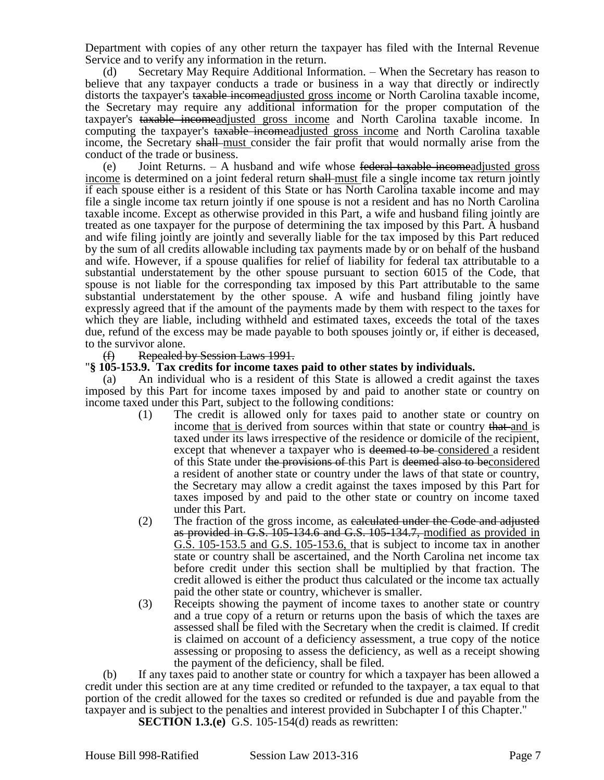Department with copies of any other return the taxpayer has filed with the Internal Revenue Service and to verify any information in the return.

(d) Secretary May Require Additional Information. – When the Secretary has reason to believe that any taxpayer conducts a trade or business in a way that directly or indirectly distorts the taxpayer's taxable incomeadjusted gross income or North Carolina taxable income, the Secretary may require any additional information for the proper computation of the taxpayer's taxable incomeadjusted gross income and North Carolina taxable income. In computing the taxpayer's taxable income adjusted gross income and North Carolina taxable income, the Secretary shall must consider the fair profit that would normally arise from the conduct of the trade or business.

(e) Joint Returns.  $-$  A husband and wife whose federal taxable incomeadjusted gross income is determined on a joint federal return shall must file a single income tax return jointly if each spouse either is a resident of this State or has North Carolina taxable income and may file a single income tax return jointly if one spouse is not a resident and has no North Carolina taxable income. Except as otherwise provided in this Part, a wife and husband filing jointly are treated as one taxpayer for the purpose of determining the tax imposed by this Part. A husband and wife filing jointly are jointly and severally liable for the tax imposed by this Part reduced by the sum of all credits allowable including tax payments made by or on behalf of the husband and wife. However, if a spouse qualifies for relief of liability for federal tax attributable to a substantial understatement by the other spouse pursuant to section 6015 of the Code, that spouse is not liable for the corresponding tax imposed by this Part attributable to the same substantial understatement by the other spouse. A wife and husband filing jointly have expressly agreed that if the amount of the payments made by them with respect to the taxes for which they are liable, including withheld and estimated taxes, exceeds the total of the taxes due, refund of the excess may be made payable to both spouses jointly or, if either is deceased, to the survivor alone.

(f) Repealed by Session Laws 1991.

#### "**§ 105-153.9. Tax credits for income taxes paid to other states by individuals.**

(a) An individual who is a resident of this State is allowed a credit against the taxes imposed by this Part for income taxes imposed by and paid to another state or country on income taxed under this Part, subject to the following conditions:

- (1) The credit is allowed only for taxes paid to another state or country on income that is derived from sources within that state or country that and is taxed under its laws irrespective of the residence or domicile of the recipient, except that whenever a taxpayer who is deemed to be considered a resident of this State under the provisions of this Part is deemed also to beconsidered a resident of another state or country under the laws of that state or country, the Secretary may allow a credit against the taxes imposed by this Part for taxes imposed by and paid to the other state or country on income taxed under this Part.
- (2) The fraction of the gross income, as calculated under the Code and adjusted as provided in G.S. 105-134.6 and G.S. 105-134.7, modified as provided in G.S. 105-153.5 and G.S. 105-153.6, that is subject to income tax in another state or country shall be ascertained, and the North Carolina net income tax before credit under this section shall be multiplied by that fraction. The credit allowed is either the product thus calculated or the income tax actually paid the other state or country, whichever is smaller.
- (3) Receipts showing the payment of income taxes to another state or country and a true copy of a return or returns upon the basis of which the taxes are assessed shall be filed with the Secretary when the credit is claimed. If credit is claimed on account of a deficiency assessment, a true copy of the notice assessing or proposing to assess the deficiency, as well as a receipt showing the payment of the deficiency, shall be filed.

(b) If any taxes paid to another state or country for which a taxpayer has been allowed a credit under this section are at any time credited or refunded to the taxpayer, a tax equal to that portion of the credit allowed for the taxes so credited or refunded is due and payable from the taxpayer and is subject to the penalties and interest provided in Subchapter I of this Chapter."

**SECTION 1.3.(e)** G.S. 105-154(d) reads as rewritten: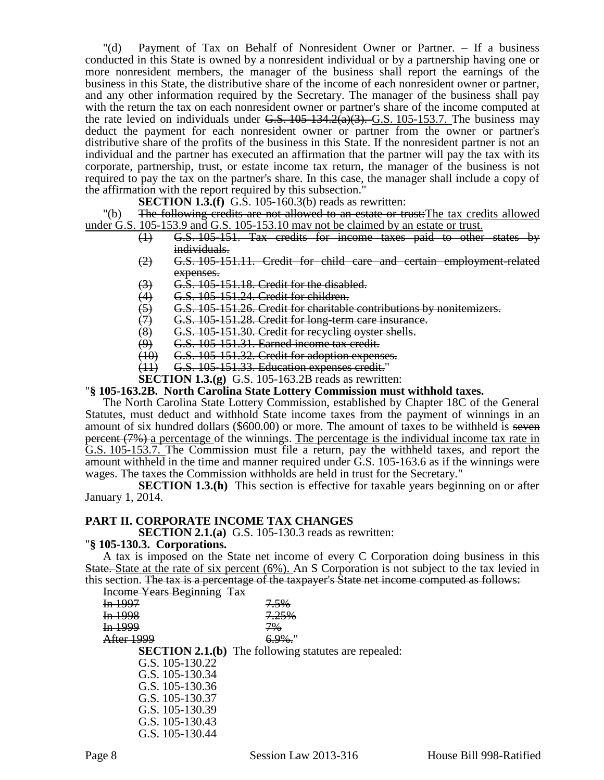"(d) Payment of Tax on Behalf of Nonresident Owner or Partner. – If a business conducted in this State is owned by a nonresident individual or by a partnership having one or more nonresident members, the manager of the business shall report the earnings of the business in this State, the distributive share of the income of each nonresident owner or partner, and any other information required by the Secretary. The manager of the business shall pay with the return the tax on each nonresident owner or partner's share of the income computed at the rate levied on individuals under G.S.  $105-134.2(a)(3)$ . G.S. 105-153.7. The business may deduct the payment for each nonresident owner or partner from the owner or partner's distributive share of the profits of the business in this State. If the nonresident partner is not an individual and the partner has executed an affirmation that the partner will pay the tax with its corporate, partnership, trust, or estate income tax return, the manager of the business is not required to pay the tax on the partner's share. In this case, the manager shall include a copy of the affirmation with the report required by this subsection."

**SECTION 1.3.(f)** G.S. 105-160.3(b) reads as rewritten:

"(b) The following credits are not allowed to an estate or trust: The tax credits allowed under G.S. 105-153.9 and G.S. 105-153.10 may not be claimed by an estate or trust.

- (1) G.S. 105-151. Tax credits for income taxes paid to other states by individuals.
- (2) G.S. 105-151.11. Credit for child care and certain employment-related expenses.
- 
- (4) G.S. 105-151.24. Credit for children.
- (3)  $\overline{G}$ . G.S. 105-151.18. Credit for the disabled.<br>
(4)  $\overline{G}$ .S. 105-151.24. Credit for children.<br>
(5)  $\overline{G}$ .S. 105-151.26. Credit for charitable con<br>
(7)  $\overline{G}$ .S. 105-151.28. Credit for long-term can<br>
(8) G.S. 105-151.26. Credit for charitable contributions by nonitemizers.
- G.S. 105-151.28. Credit for long-term care insurance.
- $\frac{1}{100}$  G.S. 105-151.30. Credit for recycling oyster shells.<br> $\frac{1}{100}$  G.S. 105-151.31. Earned income tax credit.
- $\overline{(9)}$  G.S. 105-151.31. Earned income tax credit.<br> $\overline{(10)}$  G.S. 105-151.32. Credit for adoption expension
- G.S. 105-151.32. Credit for adoption expenses.
- (11) G.S. 105-151.33. Education expenses credit."

**SECTION 1.3.(g)** G.S. 105-163.2B reads as rewritten:

#### "**§ 105-163.2B. North Carolina State Lottery Commission must withhold taxes.**

The North Carolina State Lottery Commission, established by Chapter 18C of the General Statutes, must deduct and withhold State income taxes from the payment of winnings in an amount of six hundred dollars (\$600.00) or more. The amount of taxes to be withheld is seven percent (7%) a percentage of the winnings. The percentage is the individual income tax rate in G.S. 105-153.7. The Commission must file a return, pay the withheld taxes, and report the amount withheld in the time and manner required under G.S. 105-163.6 as if the winnings were wages. The taxes the Commission withholds are held in trust for the Secretary."

**SECTION 1.3.(h)** This section is effective for taxable years beginning on or after January 1, 2014.

#### **PART II. CORPORATE INCOME TAX CHANGES**

**SECTION 2.1.(a)** G.S. 105-130.3 reads as rewritten:

#### "**§ 105-130.3. Corporations.**

A tax is imposed on the State net income of every C Corporation doing business in this State. State at the rate of six percent (6%). An S Corporation is not subject to the tax levied in this section. The tax is a percentage of the taxpayer's State net income computed as follows:

|         | <b>Income Years Beginning Tax</b> |                                                             |
|---------|-----------------------------------|-------------------------------------------------------------|
| In 1997 |                                   | 7.5%                                                        |
| In 1998 |                                   | 7.25%                                                       |
| In.1999 |                                   | $7\%$                                                       |
|         | After 1999                        | $6.9\%$ .                                                   |
|         |                                   | <b>SECTION 2.1.(b)</b> The following statutes are repealed: |
|         | G.S. 105-130.22                   |                                                             |
|         | G.S. 105-130.34                   |                                                             |
|         | G.S. 105-130.36                   |                                                             |
|         | G.S. 105-130.37                   |                                                             |
|         | G.S. 105-130.39                   |                                                             |
|         | G.S. 105-130.43                   |                                                             |
|         | G.S. 105-130.44                   |                                                             |
|         |                                   |                                                             |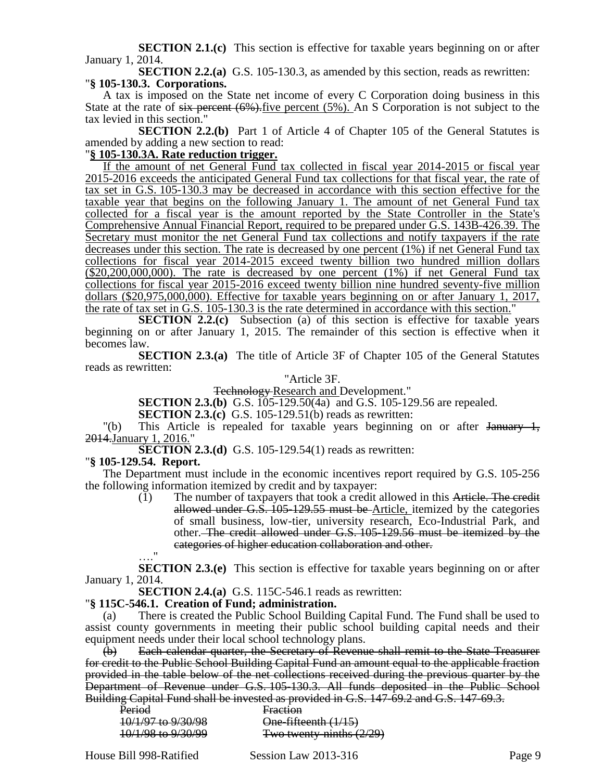**SECTION 2.1.(c)** This section is effective for taxable years beginning on or after January 1, 2014.

**SECTION 2.2.(a)** G.S. 105-130.3, as amended by this section, reads as rewritten: "**§ 105-130.3. Corporations.**

A tax is imposed on the State net income of every C Corporation doing business in this State at the rate of  $s$ ix percent  $(6\%)$ . Five percent  $(5\%)$ . An S Corporation is not subject to the tax levied in this section."

**SECTION 2.2.(b)** Part 1 of Article 4 of Chapter 105 of the General Statutes is amended by adding a new section to read:

# "**§ 105-130.3A. Rate reduction trigger.**

If the amount of net General Fund tax collected in fiscal year 2014-2015 or fiscal year 2015-2016 exceeds the anticipated General Fund tax collections for that fiscal year, the rate of tax set in G.S. 105-130.3 may be decreased in accordance with this section effective for the taxable year that begins on the following January 1. The amount of net General Fund tax collected for a fiscal year is the amount reported by the State Controller in the State's Comprehensive Annual Financial Report, required to be prepared under G.S. 143B-426.39. The Secretary must monitor the net General Fund tax collections and notify taxpayers if the rate decreases under this section. The rate is decreased by one percent (1%) if net General Fund tax collections for fiscal year 2014-2015 exceed twenty billion two hundred million dollars (\$20,200,000,000). The rate is decreased by one percent (1%) if net General Fund tax collections for fiscal year 2015-2016 exceed twenty billion nine hundred seventy-five million dollars (\$20,975,000,000). Effective for taxable years beginning on or after January 1, 2017, the rate of tax set in G.S. 105-130.3 is the rate determined in accordance with this section."

**SECTION 2.2.(c)** Subsection (a) of this section is effective for taxable years beginning on or after January 1, 2015. The remainder of this section is effective when it becomes law.

**SECTION 2.3.(a)** The title of Article 3F of Chapter 105 of the General Statutes reads as rewritten:

"Article 3F.

Technology Research and Development."

**SECTION 2.3.(b)** G.S. 105-129.50(4a) and G.S. 105-129.56 are repealed.

**SECTION 2.3.(c)** G.S. 105-129.51(b) reads as rewritten:

 $\vert$ "(b) This Article is repealed for taxable years beginning on or after January 1, 2014.January 1, 2016."

**SECTION 2.3.(d)** G.S. 105-129.54(1) reads as rewritten:

#### "**§ 105-129.54. Report.**

The Department must include in the economic incentives report required by G.S. 105-256 the following information itemized by credit and by taxpayer:

(1) The number of taxpayers that took a credit allowed in this Article. The credit allowed under G.S.  $105-129.55$  must be Article, itemized by the categories of small business, low-tier, university research, Eco-Industrial Park, and other. The credit allowed under G.S. 105-129.56 must be itemized by the categories of higher education collaboration and other.

…." **SECTION 2.3.(e)** This section is effective for taxable years beginning on or after January 1, 2014.

**SECTION 2.4.(a)** G.S. 115C-546.1 reads as rewritten:

#### "**§ 115C-546.1. Creation of Fund; administration.**

(a) There is created the Public School Building Capital Fund. The Fund shall be used to assist county governments in meeting their public school building capital needs and their equipment needs under their local school technology plans.

(b) Each calendar quarter, the Secretary of Revenue shall remit to the State Treasurer for credit to the Public School Building Capital Fund an amount equal to the applicable fraction provided in the table below of the net collections received during the previous quarter by the Department of Revenue under G.S. 105-130.3. All funds deposited in the Public School Building Capital Fund shall be invested as provided in G.S. 147-69.2 and G.S. 147-69.3.

|                                                         | ng Capital I und shah be invested as provided in G.S. 14. |
|---------------------------------------------------------|-----------------------------------------------------------|
| Period                                                  | Fraction                                                  |
| 10/1/97 to 9/30/98                                      | One-fifteenth (1/15)                                      |
|                                                         |                                                           |
| $10/1/98$ to $9/30/99$<br><del>10/1/20 to 2/30/22</del> | Two twenty-ninths $(2/29)$                                |
|                                                         |                                                           |

House Bill 998-Ratified Session Law 2013-316 Page 9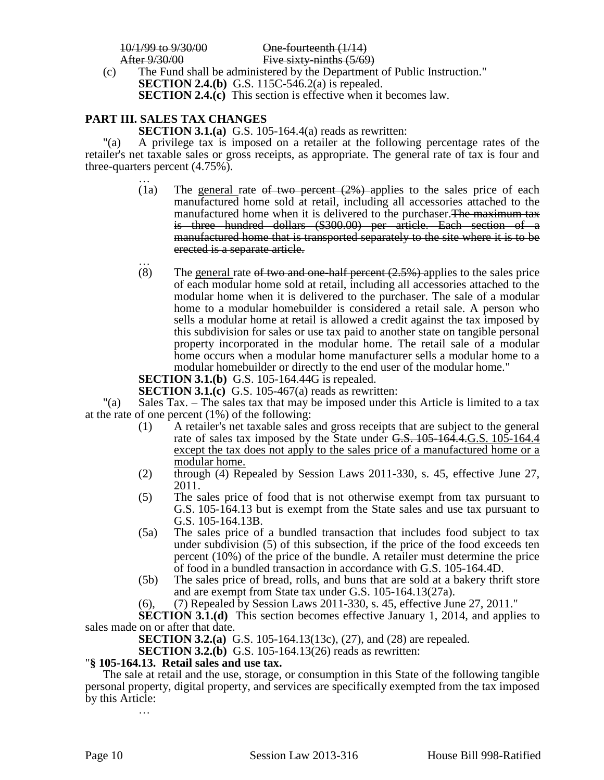10/1/99 to 9/30/00<br>After 9/30/00 Five sixty-ninths (5/69

Five sixty-ninths  $(5/69)$ 

(c) The Fund shall be administered by the Department of Public Instruction." **SECTION 2.4.(b)** G.S. 115C-546.2(a) is repealed. **SECTION 2.4.(c)** This section is effective when it becomes law.

# **PART III. SALES TAX CHANGES**

**SECTION 3.1.(a)** G.S. 105-164.4(a) reads as rewritten:

"(a) A privilege tax is imposed on a retailer at the following percentage rates of the retailer's net taxable sales or gross receipts, as appropriate. The general rate of tax is four and three-quarters percent (4.75%).

- … (1a) The general rate of two percent  $(2%)$  applies to the sales price of each manufactured home sold at retail, including all accessories attached to the manufactured home when it is delivered to the purchaser. The maximum tax is three hundred dollars (\$300.00) per article. Each section of a manufactured home that is transported separately to the site where it is to be erected is a separate article.
- … (8) The general rate of two and one-half percent  $(2.5%)$ -applies to the sales price of each modular home sold at retail, including all accessories attached to the modular home when it is delivered to the purchaser. The sale of a modular home to a modular homebuilder is considered a retail sale. A person who sells a modular home at retail is allowed a credit against the tax imposed by this subdivision for sales or use tax paid to another state on tangible personal property incorporated in the modular home. The retail sale of a modular home occurs when a modular home manufacturer sells a modular home to a modular homebuilder or directly to the end user of the modular home."

**SECTION 3.1.(b)** G.S. 105-164.44G is repealed.

**SECTION 3.1.(c)** G.S. 105-467(a) reads as rewritten:

"(a) Sales Tax. – The sales tax that may be imposed under this Article is limited to a tax at the rate of one percent (1%) of the following:

- (1) A retailer's net taxable sales and gross receipts that are subject to the general rate of sales tax imposed by the State under G.S. 105-164.4.G.S. 105-164.4 except the tax does not apply to the sales price of a manufactured home or a modular home.
- (2) through (4) Repealed by Session Laws 2011-330, s. 45, effective June 27, 2011.
- (5) The sales price of food that is not otherwise exempt from tax pursuant to G.S. 105-164.13 but is exempt from the State sales and use tax pursuant to G.S. 105-164.13B.
- (5a) The sales price of a bundled transaction that includes food subject to tax under subdivision (5) of this subsection, if the price of the food exceeds ten percent (10%) of the price of the bundle. A retailer must determine the price of food in a bundled transaction in accordance with G.S. 105-164.4D.
- (5b) The sales price of bread, rolls, and buns that are sold at a bakery thrift store and are exempt from State tax under G.S. 105-164.13(27a).
- (6), (7) Repealed by Session Laws 2011-330, s. 45, effective June 27, 2011."

**SECTION 3.1.(d)** This section becomes effective January 1, 2014, and applies to sales made on or after that date.

**SECTION 3.2.(a)** G.S. 105-164.13(13c), (27), and (28) are repealed.

**SECTION 3.2.(b)** G.S. 105-164.13(26) reads as rewritten:

### "**§ 105-164.13. Retail sales and use tax.**

The sale at retail and the use, storage, or consumption in this State of the following tangible personal property, digital property, and services are specifically exempted from the tax imposed by this Article: …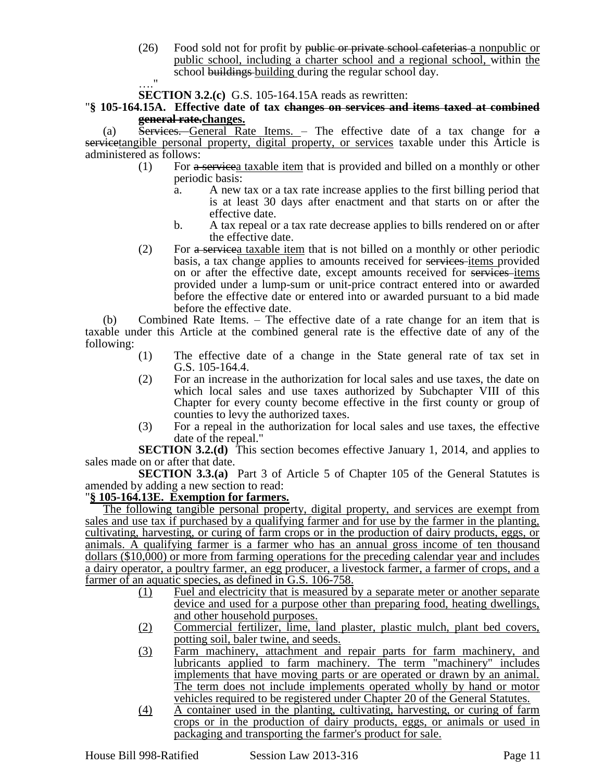(26) Food sold not for profit by public or private school cafeterias a nonpublic or public school, including a charter school and a regional school, within the school buildings building during the regular school day.

…." **SECTION 3.2.(c)** G.S. 105-164.15A reads as rewritten:

"**§ 105-164.15A. Effective date of tax changes on services and items taxed at combined general rate.changes.**

(a)  $\overline{\text{S}}$  Services. General Rate Items. – The effective date of a tax change for  $\overline{a}$ servicetangible personal property, digital property, or services taxable under this Article is administered as follows:

- (1) For a servicea taxable item that is provided and billed on a monthly or other periodic basis:
	- a. A new tax or a tax rate increase applies to the first billing period that is at least 30 days after enactment and that starts on or after the effective date.
	- b. A tax repeal or a tax rate decrease applies to bills rendered on or after the effective date.
- (2) For a servicea taxable item that is not billed on a monthly or other periodic basis, a tax change applies to amounts received for services items provided on or after the effective date, except amounts received for services items provided under a lump-sum or unit-price contract entered into or awarded before the effective date or entered into or awarded pursuant to a bid made before the effective date.

(b) Combined Rate Items. – The effective date of a rate change for an item that is taxable under this Article at the combined general rate is the effective date of any of the following:

- (1) The effective date of a change in the State general rate of tax set in G.S. 105-164.4.
- (2) For an increase in the authorization for local sales and use taxes, the date on which local sales and use taxes authorized by Subchapter VIII of this Chapter for every county become effective in the first county or group of counties to levy the authorized taxes.
- (3) For a repeal in the authorization for local sales and use taxes, the effective date of the repeal."

**SECTION 3.2.(d)** This section becomes effective January 1, 2014, and applies to sales made on or after that date.

**SECTION 3.3.(a)** Part 3 of Article 5 of Chapter 105 of the General Statutes is amended by adding a new section to read:

# "**§ 105-164.13E. Exemption for farmers.**

The following tangible personal property, digital property, and services are exempt from sales and use tax if purchased by a qualifying farmer and for use by the farmer in the planting, cultivating, harvesting, or curing of farm crops or in the production of dairy products, eggs, or animals. A qualifying farmer is a farmer who has an annual gross income of ten thousand dollars (\$10,000) or more from farming operations for the preceding calendar year and includes a dairy operator, a poultry farmer, an egg producer, a livestock farmer, a farmer of crops, and a farmer of an aquatic species, as defined in G.S. 106-758.

- (1) Fuel and electricity that is measured by a separate meter or another separate device and used for a purpose other than preparing food, heating dwellings, and other household purposes.
- (2) Commercial fertilizer, lime, land plaster, plastic mulch, plant bed covers, potting soil, baler twine, and seeds.
- (3) Farm machinery, attachment and repair parts for farm machinery, and lubricants applied to farm machinery. The term "machinery" includes implements that have moving parts or are operated or drawn by an animal. The term does not include implements operated wholly by hand or motor vehicles required to be registered under Chapter 20 of the General Statutes.
- (4) A container used in the planting, cultivating, harvesting, or curing of farm crops or in the production of dairy products, eggs, or animals or used in packaging and transporting the farmer's product for sale.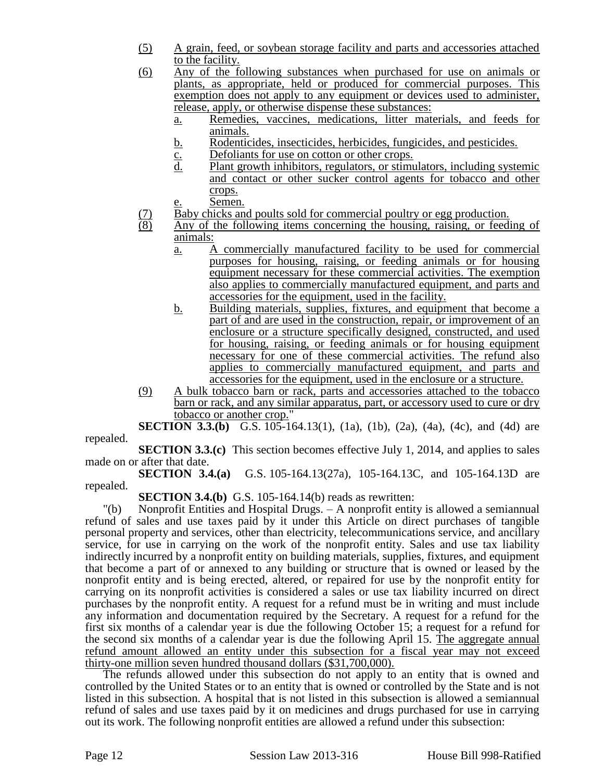- (5) A grain, feed, or soybean storage facility and parts and accessories attached to the facility.
- (6) Any of the following substances when purchased for use on animals or plants, as appropriate, held or produced for commercial purposes. This exemption does not apply to any equipment or devices used to administer, release, apply, or otherwise dispense these substances:
	- a. Remedies, vaccines, medications, litter materials, and feeds for animals.
	- b. Rodenticides, insecticides, herbicides, fungicides, and pesticides.
	- $c.$  Defoliants for use on cotton or other crops.<br>d. Plant growth inhibitors, regulators, or stimu
	- Plant growth inhibitors, regulators, or stimulators, including systemic and contact or other sucker control agents for tobacco and other crops.
		- Semen.
- (7) Baby chicks and poults sold for commercial poultry or egg production.<br>(8) Any of the following items concerning the housing, raising, or feed
- Any of the following items concerning the housing, raising, or feeding of animals:
	- a. A commercially manufactured facility to be used for commercial purposes for housing, raising, or feeding animals or for housing equipment necessary for these commercial activities. The exemption also applies to commercially manufactured equipment, and parts and accessories for the equipment, used in the facility.
	- b. Building materials, supplies, fixtures, and equipment that become a part of and are used in the construction, repair, or improvement of an enclosure or a structure specifically designed, constructed, and used for housing, raising, or feeding animals or for housing equipment necessary for one of these commercial activities. The refund also applies to commercially manufactured equipment, and parts and accessories for the equipment, used in the enclosure or a structure.
- (9) A bulk tobacco barn or rack, parts and accessories attached to the tobacco barn or rack, and any similar apparatus, part, or accessory used to cure or dry tobacco or another crop."

**SECTION 3.3.(b)** G.S. 105-164.13(1), (1a), (1b), (2a), (4a), (4c), and (4d) are

repealed.

**SECTION 3.3.(c)** This section becomes effective July 1, 2014, and applies to sales made on or after that date.

**SECTION 3.4.(a)** G.S. 105-164.13(27a), 105-164.13C, and 105-164.13D are repealed.

**SECTION 3.4.(b)** G.S. 105-164.14(b) reads as rewritten:

"(b) Nonprofit Entities and Hospital Drugs. – A nonprofit entity is allowed a semiannual refund of sales and use taxes paid by it under this Article on direct purchases of tangible personal property and services, other than electricity, telecommunications service, and ancillary service, for use in carrying on the work of the nonprofit entity. Sales and use tax liability indirectly incurred by a nonprofit entity on building materials, supplies, fixtures, and equipment that become a part of or annexed to any building or structure that is owned or leased by the nonprofit entity and is being erected, altered, or repaired for use by the nonprofit entity for carrying on its nonprofit activities is considered a sales or use tax liability incurred on direct purchases by the nonprofit entity. A request for a refund must be in writing and must include any information and documentation required by the Secretary. A request for a refund for the first six months of a calendar year is due the following October 15; a request for a refund for the second six months of a calendar year is due the following April 15. The aggregate annual refund amount allowed an entity under this subsection for a fiscal year may not exceed thirty-one million seven hundred thousand dollars (\$31,700,000).

The refunds allowed under this subsection do not apply to an entity that is owned and controlled by the United States or to an entity that is owned or controlled by the State and is not listed in this subsection. A hospital that is not listed in this subsection is allowed a semiannual refund of sales and use taxes paid by it on medicines and drugs purchased for use in carrying out its work. The following nonprofit entities are allowed a refund under this subsection: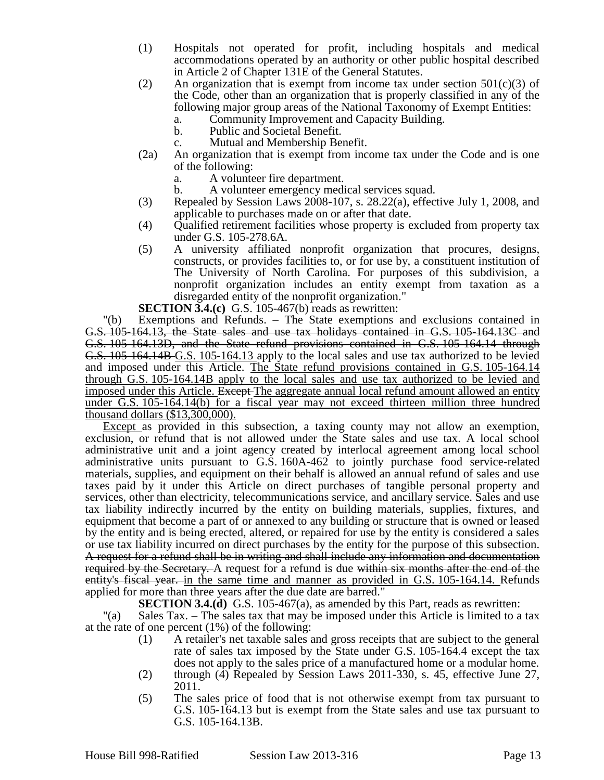- (1) Hospitals not operated for profit, including hospitals and medical accommodations operated by an authority or other public hospital described in Article 2 of Chapter 131E of the General Statutes.
- (2) An organization that is exempt from income tax under section  $501(c)(3)$  of the Code, other than an organization that is properly classified in any of the following major group areas of the National Taxonomy of Exempt Entities:
	- a. Community Improvement and Capacity Building.
	- b. Public and Societal Benefit.
	- c. Mutual and Membership Benefit.
- (2a) An organization that is exempt from income tax under the Code and is one of the following:
	- a. A volunteer fire department.
	- b. A volunteer emergency medical services squad.
- (3) Repealed by Session Laws 2008-107, s. 28.22(a), effective July 1, 2008, and applicable to purchases made on or after that date.
- (4) Qualified retirement facilities whose property is excluded from property tax under G.S. 105-278.6A.
- (5) A university affiliated nonprofit organization that procures, designs, constructs, or provides facilities to, or for use by, a constituent institution of The University of North Carolina. For purposes of this subdivision, a nonprofit organization includes an entity exempt from taxation as a disregarded entity of the nonprofit organization."

**SECTION 3.4.(c)** G.S. 105-467(b) reads as rewritten:

"(b) Exemptions and Refunds. – The State exemptions and exclusions contained in G.S. 105-164.13, the State sales and use tax holidays contained in G.S. 105-164.13C and G.S. 105-164.13D, and the State refund provisions contained in G.S. 105-164.14 through G.S. 105-164.14B G.S. 105-164.13 apply to the local sales and use tax authorized to be levied and imposed under this Article. The State refund provisions contained in G.S. 105-164.14 through G.S. 105-164.14B apply to the local sales and use tax authorized to be levied and imposed under this Article. Except The aggregate annual local refund amount allowed an entity under G.S. 105-164.14(b) for a fiscal year may not exceed thirteen million three hundred thousand dollars (\$13,300,000).

Except as provided in this subsection, a taxing county may not allow an exemption, exclusion, or refund that is not allowed under the State sales and use tax. A local school administrative unit and a joint agency created by interlocal agreement among local school administrative units pursuant to G.S. 160A-462 to jointly purchase food service-related materials, supplies, and equipment on their behalf is allowed an annual refund of sales and use taxes paid by it under this Article on direct purchases of tangible personal property and services, other than electricity, telecommunications service, and ancillary service. Sales and use tax liability indirectly incurred by the entity on building materials, supplies, fixtures, and equipment that become a part of or annexed to any building or structure that is owned or leased by the entity and is being erected, altered, or repaired for use by the entity is considered a sales or use tax liability incurred on direct purchases by the entity for the purpose of this subsection. A request for a refund shall be in writing and shall include any information and documentation required by the Secretary. A request for a refund is due within six months after the end of the entity's fiscal year. in the same time and manner as provided in G.S. 105-164.14. Refunds applied for more than three years after the due date are barred."

**SECTION 3.4.(d)** G.S. 105-467(a), as amended by this Part, reads as rewritten:

"(a) Sales Tax. – The sales tax that may be imposed under this Article is limited to a tax at the rate of one percent (1%) of the following:

- (1) A retailer's net taxable sales and gross receipts that are subject to the general rate of sales tax imposed by the State under G.S. 105-164.4 except the tax does not apply to the sales price of a manufactured home or a modular home.
- (2) through (4) Repealed by Session Laws 2011-330, s. 45, effective June 27, 2011.
- (5) The sales price of food that is not otherwise exempt from tax pursuant to G.S. 105-164.13 but is exempt from the State sales and use tax pursuant to G.S. 105-164.13B.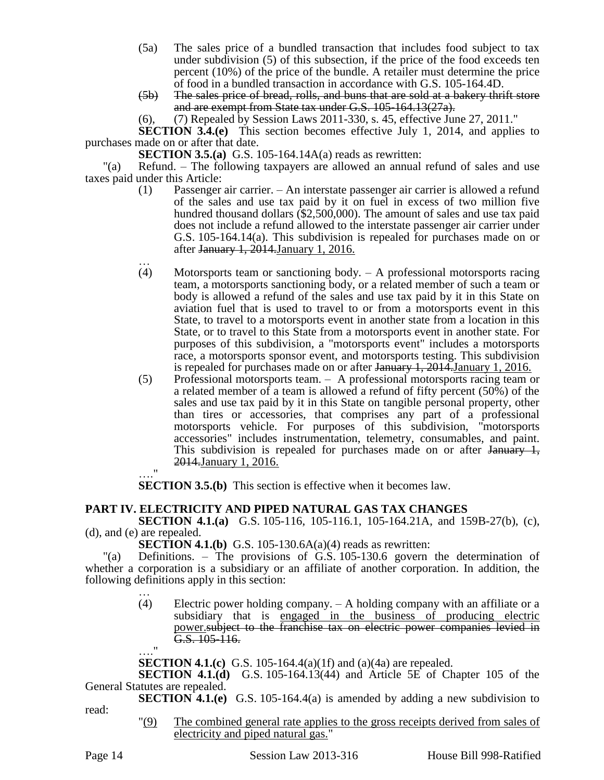- (5a) The sales price of a bundled transaction that includes food subject to tax under subdivision (5) of this subsection, if the price of the food exceeds ten percent (10%) of the price of the bundle. A retailer must determine the price of food in a bundled transaction in accordance with G.S. 105-164.4D.
- (5b) The sales price of bread, rolls, and buns that are sold at a bakery thrift store and are exempt from State tax under G.S. 105-164.13(27a).
- (6), (7) Repealed by Session Laws 2011-330, s. 45, effective June 27, 2011."

**SECTION 3.4.(e)** This section becomes effective July 1, 2014, and applies to purchases made on or after that date.

**SECTION 3.5.(a)** G.S. 105-164.14A(a) reads as rewritten:

"(a) Refund. – The following taxpayers are allowed an annual refund of sales and use taxes paid under this Article:

- (1) Passenger air carrier. An interstate passenger air carrier is allowed a refund of the sales and use tax paid by it on fuel in excess of two million five hundred thousand dollars (\$2,500,000). The amount of sales and use tax paid does not include a refund allowed to the interstate passenger air carrier under G.S. 105-164.14(a). This subdivision is repealed for purchases made on or after January 1, 2014.January 1, 2016.
- … (4) Motorsports team or sanctioning body. – A professional motorsports racing team, a motorsports sanctioning body, or a related member of such a team or body is allowed a refund of the sales and use tax paid by it in this State on aviation fuel that is used to travel to or from a motorsports event in this State, to travel to a motorsports event in another state from a location in this State, or to travel to this State from a motorsports event in another state. For purposes of this subdivision, a "motorsports event" includes a motorsports race, a motorsports sponsor event, and motorsports testing. This subdivision is repealed for purchases made on or after January 1, 2014.January 1, 2016.
- (5) Professional motorsports team. A professional motorsports racing team or a related member of a team is allowed a refund of fifty percent (50%) of the sales and use tax paid by it in this State on tangible personal property, other than tires or accessories, that comprises any part of a professional motorsports vehicle. For purposes of this subdivision, "motorsports accessories" includes instrumentation, telemetry, consumables, and paint. This subdivision is repealed for purchases made on or after  $\frac{1}{4}$ , 2014.January 1, 2016. …."

**SECTION 3.5.(b)** This section is effective when it becomes law.

# **PART IV. ELECTRICITY AND PIPED NATURAL GAS TAX CHANGES**

**SECTION 4.1.(a)** G.S. 105-116, 105-116.1, 105-164.21A, and 159B-27(b), (c), (d), and (e) are repealed.

**SECTION 4.1.(b)** G.S. 105-130.6A(a)(4) reads as rewritten:

"(a) Definitions. – The provisions of G.S. 105-130.6 govern the determination of whether a corporation is a subsidiary or an affiliate of another corporation. In addition, the following definitions apply in this section: …

(4) Electric power holding company. – A holding company with an affiliate or a subsidiary that is engaged in the business of producing electric power.subject to the franchise tax on electric power companies levied in G.S. 105-116.

 $^{\rm{ii}}$ 

**SECTION 4.1.(c)** G.S. 105-164.4(a)(1f) and (a)(4a) are repealed.

**SECTION 4.1.(d)** G.S. 105-164.13(44) and Article 5E of Chapter 105 of the General Statutes are repealed.

**SECTION 4.1.(e)** G.S. 105-164.4(a) is amended by adding a new subdivision to read:

> "(9) The combined general rate applies to the gross receipts derived from sales of electricity and piped natural gas."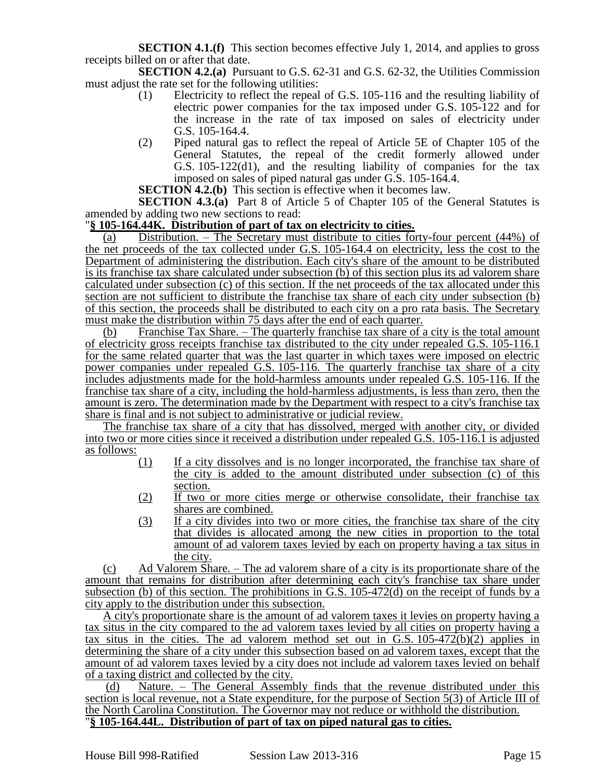**SECTION 4.1.(f)** This section becomes effective July 1, 2014, and applies to gross receipts billed on or after that date.

**SECTION 4.2.(a)** Pursuant to G.S. 62-31 and G.S. 62-32, the Utilities Commission must adjust the rate set for the following utilities:

- (1) Electricity to reflect the repeal of G.S. 105-116 and the resulting liability of electric power companies for the tax imposed under G.S. 105-122 and for the increase in the rate of tax imposed on sales of electricity under G.S. 105-164.4.
- (2) Piped natural gas to reflect the repeal of Article 5E of Chapter 105 of the General Statutes, the repeal of the credit formerly allowed under G.S. 105-122(d1), and the resulting liability of companies for the tax imposed on sales of piped natural gas under G.S. 105-164.4.

**SECTION 4.2.(b)** This section is effective when it becomes law.

**SECTION 4.3.(a)** Part 8 of Article 5 of Chapter 105 of the General Statutes is amended by adding two new sections to read:

### "**§ 105-164.44K. Distribution of part of tax on electricity to cities.**

(a) Distribution. – The Secretary must distribute to cities forty-four percent (44%) of the net proceeds of the tax collected under G.S. 105-164.4 on electricity, less the cost to the Department of administering the distribution. Each city's share of the amount to be distributed is its franchise tax share calculated under subsection (b) of this section plus its ad valorem share calculated under subsection (c) of this section. If the net proceeds of the tax allocated under this section are not sufficient to distribute the franchise tax share of each city under subsection (b) of this section, the proceeds shall be distributed to each city on a pro rata basis. The Secretary must make the distribution within 75 days after the end of each quarter.

(b) Franchise Tax Share. – The quarterly franchise tax share of a city is the total amount of electricity gross receipts franchise tax distributed to the city under repealed G.S. 105-116.1 for the same related quarter that was the last quarter in which taxes were imposed on electric power companies under repealed G.S. 105-116. The quarterly franchise tax share of a city includes adjustments made for the hold-harmless amounts under repealed G.S. 105-116. If the franchise tax share of a city, including the hold-harmless adjustments, is less than zero, then the amount is zero. The determination made by the Department with respect to a city's franchise tax share is final and is not subject to administrative or judicial review.

The franchise tax share of a city that has dissolved, merged with another city, or divided into two or more cities since it received a distribution under repealed G.S. 105-116.1 is adjusted as follows:

- (1) If a city dissolves and is no longer incorporated, the franchise tax share of the city is added to the amount distributed under subsection (c) of this section.
- (2) If two or more cities merge or otherwise consolidate, their franchise tax shares are combined.
- (3) If a city divides into two or more cities, the franchise tax share of the city that divides is allocated among the new cities in proportion to the total amount of ad valorem taxes levied by each on property having a tax situs in the city.

(c) Ad Valorem Share. – The ad valorem share of a city is its proportionate share of the amount that remains for distribution after determining each city's franchise tax share under subsection (b) of this section. The prohibitions in G.S.  $105-472(d)$  on the receipt of funds by a city apply to the distribution under this subsection.

A city's proportionate share is the amount of ad valorem taxes it levies on property having a tax situs in the city compared to the ad valorem taxes levied by all cities on property having a tax situs in the cities. The ad valorem method set out in G.S. 105-472(b)(2) applies in determining the share of a city under this subsection based on ad valorem taxes, except that the amount of ad valorem taxes levied by a city does not include ad valorem taxes levied on behalf of a taxing district and collected by the city.

(d) Nature. – The General Assembly finds that the revenue distributed under this section is local revenue, not a State expenditure, for the purpose of Section 5(3) of Article III of the North Carolina Constitution. The Governor may not reduce or withhold the distribution. "**§ 105-164.44L. Distribution of part of tax on piped natural gas to cities.**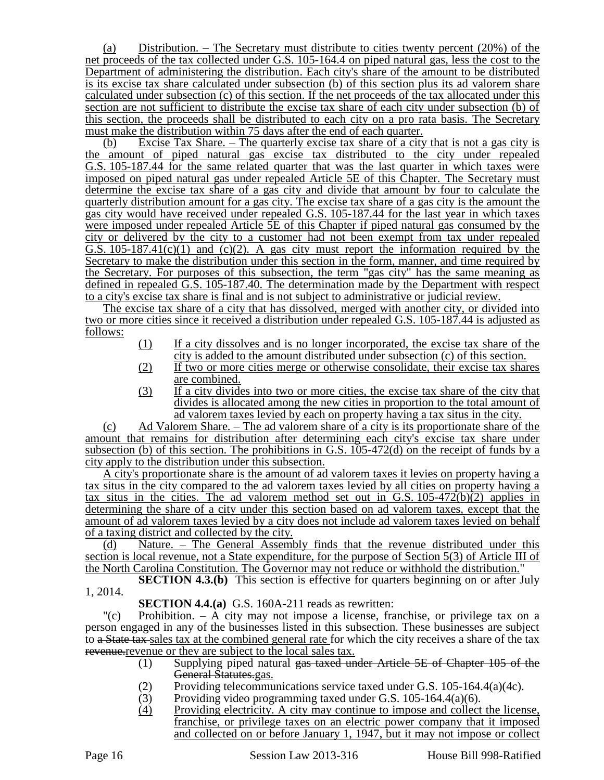(a) Distribution. – The Secretary must distribute to cities twenty percent (20%) of the net proceeds of the tax collected under G.S. 105-164.4 on piped natural gas, less the cost to the Department of administering the distribution. Each city's share of the amount to be distributed is its excise tax share calculated under subsection (b) of this section plus its ad valorem share calculated under subsection (c) of this section. If the net proceeds of the tax allocated under this section are not sufficient to distribute the excise tax share of each city under subsection (b) of this section, the proceeds shall be distributed to each city on a pro rata basis. The Secretary must make the distribution within 75 days after the end of each quarter.

(b) Excise Tax Share. – The quarterly excise tax share of a city that is not a gas city is the amount of piped natural gas excise tax distributed to the city under repealed G.S. 105-187.44 for the same related quarter that was the last quarter in which taxes were imposed on piped natural gas under repealed Article 5E of this Chapter. The Secretary must determine the excise tax share of a gas city and divide that amount by four to calculate the quarterly distribution amount for a gas city. The excise tax share of a gas city is the amount the gas city would have received under repealed G.S. 105-187.44 for the last year in which taxes were imposed under repealed Article 5E of this Chapter if piped natural gas consumed by the city or delivered by the city to a customer had not been exempt from tax under repealed G.S.  $105-187.41(c)(1)$  and  $(c)(2)$ . A gas city must report the information required by the Secretary to make the distribution under this section in the form, manner, and time required by the Secretary. For purposes of this subsection, the term "gas city" has the same meaning as defined in repealed G.S. 105-187.40. The determination made by the Department with respect to a city's excise tax share is final and is not subject to administrative or judicial review.

The excise tax share of a city that has dissolved, merged with another city, or divided into two or more cities since it received a distribution under repealed G.S. 105-187.44 is adjusted as follows:

- (1) If a city dissolves and is no longer incorporated, the excise tax share of the city is added to the amount distributed under subsection (c) of this section.
- (2) If two or more cities merge or otherwise consolidate, their excise tax shares are combined.
- (3) If a city divides into two or more cities, the excise tax share of the city that divides is allocated among the new cities in proportion to the total amount of ad valorem taxes levied by each on property having a tax situs in the city.

(c) Ad Valorem Share. – The ad valorem share of a city is its proportionate share of the amount that remains for distribution after determining each city's excise tax share under subsection (b) of this section. The prohibitions in G.S. 105-472(d) on the receipt of funds by a city apply to the distribution under this subsection.

A city's proportionate share is the amount of ad valorem taxes it levies on property having a tax situs in the city compared to the ad valorem taxes levied by all cities on property having a tax situs in the cities. The ad valorem method set out in G.S.  $105-472(b)(2)$  applies in determining the share of a city under this section based on ad valorem taxes, except that the amount of ad valorem taxes levied by a city does not include ad valorem taxes levied on behalf of a taxing district and collected by the city.

(d) Nature. – The General Assembly finds that the revenue distributed under this section is local revenue, not a State expenditure, for the purpose of Section 5(3) of Article III of the North Carolina Constitution. The Governor may not reduce or withhold the distribution."

**SECTION 4.3.(b)** This section is effective for quarters beginning on or after July 1, 2014.

**SECTION 4.4.(a)** G.S. 160A-211 reads as rewritten:

"(c) Prohibition. – A city may not impose a license, franchise, or privilege tax on a person engaged in any of the businesses listed in this subsection. These businesses are subject to a State tax sales tax at the combined general rate for which the city receives a share of the tax revenue revenue or they are subject to the local sales tax.

- (1) Supplying piped natural gas taxed under Article 5E of Chapter 105 of the General Statutes.gas.
- (2) Providing telecommunications service taxed under G.S. 105-164.4(a)(4c).
- (3) Providing video programming taxed under G.S. 105-164.4(a)(6).
- (4) Providing electricity. A city may continue to impose and collect the license, franchise, or privilege taxes on an electric power company that it imposed and collected on or before January 1, 1947, but it may not impose or collect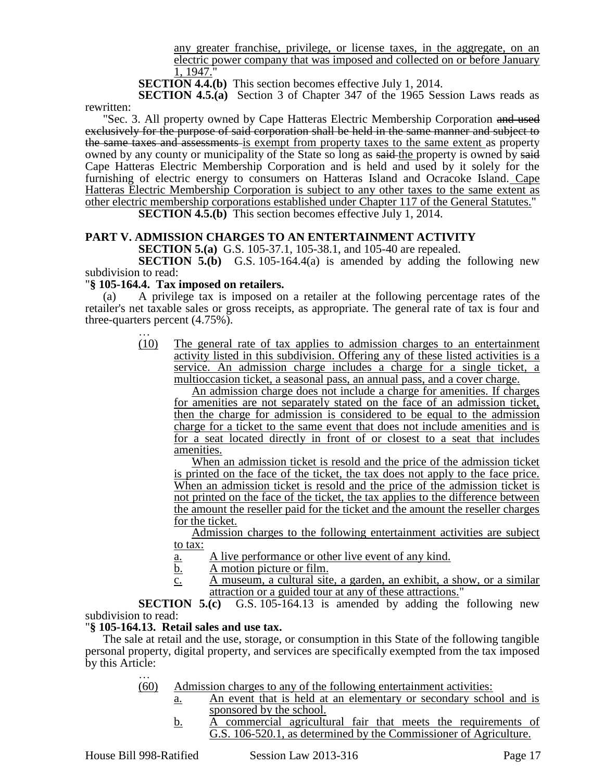any greater franchise, privilege, or license taxes, in the aggregate, on an electric power company that was imposed and collected on or before January 1, 1947."

**SECTION 4.4.(b)** This section becomes effective July 1, 2014.

**SECTION 4.5.(a)** Section 3 of Chapter 347 of the 1965 Session Laws reads as rewritten:

"Sec. 3. All property owned by Cape Hatteras Electric Membership Corporation and used exclusively for the purpose of said corporation shall be held in the same manner and subject to the same taxes and assessments is exempt from property taxes to the same extent as property owned by any county or municipality of the State so long as said the property is owned by said Cape Hatteras Electric Membership Corporation and is held and used by it solely for the furnishing of electric energy to consumers on Hatteras Island and Ocracoke Island. Cape Hatteras Electric Membership Corporation is subject to any other taxes to the same extent as other electric membership corporations established under Chapter 117 of the General Statutes." **SECTION 4.5.(b)** This section becomes effective July 1, 2014.

### **PART V. ADMISSION CHARGES TO AN ENTERTAINMENT ACTIVITY**

**SECTION 5.(a)** G.S. 105-37.1, 105-38.1, and 105-40 are repealed.

**SECTION 5.(b)** G.S. 105-164.4(a) is amended by adding the following new subdivision to read:

### "**§ 105-164.4. Tax imposed on retailers.**

(a) A privilege tax is imposed on a retailer at the following percentage rates of the retailer's net taxable sales or gross receipts, as appropriate. The general rate of tax is four and three-quarters percent (4.75%).

> … (10) The general rate of tax applies to admission charges to an entertainment activity listed in this subdivision. Offering any of these listed activities is a service. An admission charge includes a charge for a single ticket, a multioccasion ticket, a seasonal pass, an annual pass, and a cover charge.

An admission charge does not include a charge for amenities. If charges for amenities are not separately stated on the face of an admission ticket, then the charge for admission is considered to be equal to the admission charge for a ticket to the same event that does not include amenities and is for a seat located directly in front of or closest to a seat that includes amenities.

When an admission ticket is resold and the price of the admission ticket is printed on the face of the ticket, the tax does not apply to the face price. When an admission ticket is resold and the price of the admission ticket is not printed on the face of the ticket, the tax applies to the difference between the amount the reseller paid for the ticket and the amount the reseller charges for the ticket.

Admission charges to the following entertainment activities are subject to tax:

- a. A live performance or other live event of any kind.
- b. A motion picture or film.
- c. A museum, a cultural site, a garden, an exhibit, a show, or a similar attraction or a guided tour at any of these attractions."

**SECTION 5.(c)** G.S. 105-164.13 is amended by adding the following new subdivision to read:

### "**§ 105-164.13. Retail sales and use tax.**

The sale at retail and the use, storage, or consumption in this State of the following tangible personal property, digital property, and services are specifically exempted from the tax imposed by this Article: …

- (60) Admission charges to any of the following entertainment activities:
	- a. An event that is held at an elementary or secondary school and is sponsored by the school.
	- b. A commercial agricultural fair that meets the requirements of G.S. 106-520.1, as determined by the Commissioner of Agriculture.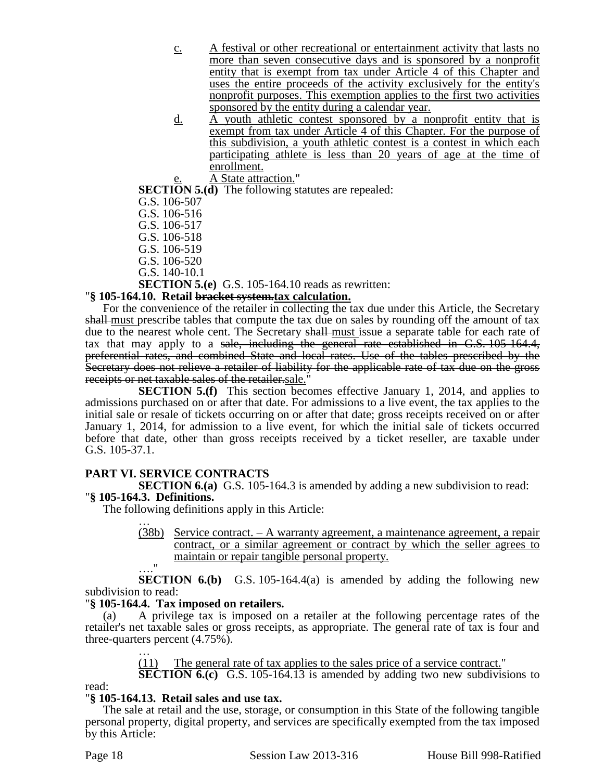- c. A festival or other recreational or entertainment activity that lasts no more than seven consecutive days and is sponsored by a nonprofit entity that is exempt from tax under Article 4 of this Chapter and uses the entire proceeds of the activity exclusively for the entity's nonprofit purposes. This exemption applies to the first two activities sponsored by the entity during a calendar year.
- d. A youth athletic contest sponsored by a nonprofit entity that is exempt from tax under Article 4 of this Chapter. For the purpose of this subdivision, a youth athletic contest is a contest in which each participating athlete is less than 20 years of age at the time of enrollment.

A State attraction."

**SECTION 5.(d)** The following statutes are repealed:

- G.S. 106-507
- G.S. 106-516
- G.S. 106-517
- G.S. 106-518
- G.S. 106-519
- G.S. 106-520
- G.S. 140-10.1

**SECTION 5.(e)** G.S. 105-164.10 reads as rewritten:

### "**§ 105-164.10. Retail bracket system.tax calculation.**

For the convenience of the retailer in collecting the tax due under this Article, the Secretary shall must prescribe tables that compute the tax due on sales by rounding off the amount of tax due to the nearest whole cent. The Secretary shall-must issue a separate table for each rate of tax that may apply to a sale, including the general rate established in G.S. 105-164.4, preferential rates, and combined State and local rates. Use of the tables prescribed by the Secretary does not relieve a retailer of liability for the applicable rate of tax due on the gross receipts or net taxable sales of the retailer.sale."

**SECTION 5.(f)** This section becomes effective January 1, 2014, and applies to admissions purchased on or after that date. For admissions to a live event, the tax applies to the initial sale or resale of tickets occurring on or after that date; gross receipts received on or after January 1, 2014, for admission to a live event, for which the initial sale of tickets occurred before that date, other than gross receipts received by a ticket reseller, are taxable under G.S. 105-37.1.

# **PART VI. SERVICE CONTRACTS**

**SECTION 6.(a)** G.S. 105-164.3 is amended by adding a new subdivision to read: "**§ 105-164.3. Definitions.**

The following definitions apply in this Article:

- … (38b) Service contract. – A warranty agreement, a maintenance agreement, a repair contract, or a similar agreement or contract by which the seller agrees to maintain or repair tangible personal property.
- …."

**SECTION 6.(b)** G.S. 105-164.4(a) is amended by adding the following new subdivision to read:

### "**§ 105-164.4. Tax imposed on retailers.**

(a) A privilege tax is imposed on a retailer at the following percentage rates of the retailer's net taxable sales or gross receipts, as appropriate. The general rate of tax is four and three-quarters percent (4.75%). …

(11) The general rate of tax applies to the sales price of a service contract."

**SECTION 6.(c)** G.S. 105-164.13 is amended by adding two new subdivisions to

read:

# "**§ 105-164.13. Retail sales and use tax.**

The sale at retail and the use, storage, or consumption in this State of the following tangible personal property, digital property, and services are specifically exempted from the tax imposed by this Article: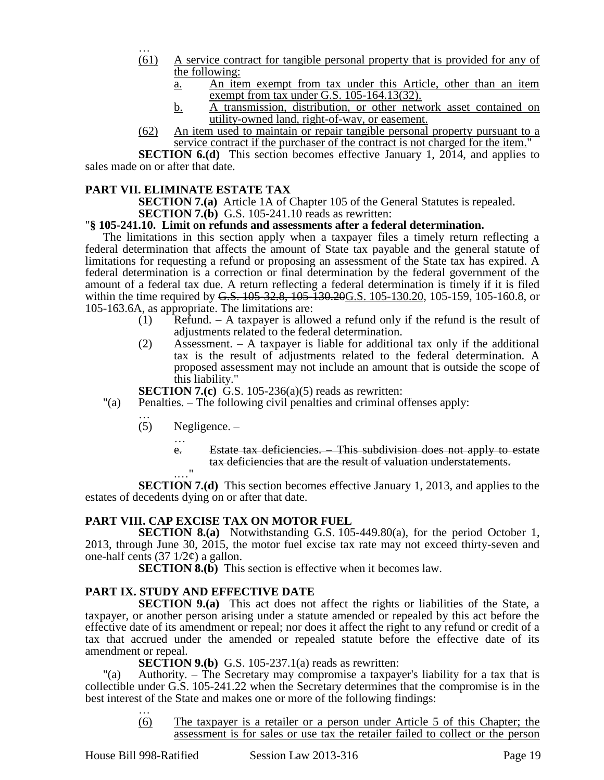- … (61) A service contract for tangible personal property that is provided for any of the following:
	- a. An item exempt from tax under this Article, other than an item exempt from tax under G.S. 105-164.13(32).
	- b. A transmission, distribution, or other network asset contained on utility-owned land, right-of-way, or easement.
- (62) An item used to maintain or repair tangible personal property pursuant to a service contract if the purchaser of the contract is not charged for the item."

**SECTION 6.(d)** This section becomes effective January 1, 2014, and applies to sales made on or after that date.

# **PART VII. ELIMINATE ESTATE TAX**

**SECTION 7.(a)** Article 1A of Chapter 105 of the General Statutes is repealed. **SECTION 7.(b)** G.S. 105-241.10 reads as rewritten:

### "**§ 105-241.10. Limit on refunds and assessments after a federal determination.**

The limitations in this section apply when a taxpayer files a timely return reflecting a federal determination that affects the amount of State tax payable and the general statute of limitations for requesting a refund or proposing an assessment of the State tax has expired. A federal determination is a correction or final determination by the federal government of the amount of a federal tax due. A return reflecting a federal determination is timely if it is filed within the time required by G.S. 105-32.8, 105-130.20G.S. 105-130.20, 105-159, 105-160.8, or 105-163.6A, as appropriate. The limitations are:

- (1) Refund. A taxpayer is allowed a refund only if the refund is the result of adjustments related to the federal determination.
- (2) Assessment. A taxpayer is liable for additional tax only if the additional tax is the result of adjustments related to the federal determination. A proposed assessment may not include an amount that is outside the scope of this liability."

**SECTION 7.(c)** G.S. 105-236(a)(5) reads as rewritten:

- "(a) Penalties. The following civil penalties and criminal offenses apply:
	- … (5) Negligence. –
		- …
		- e. Estate tax deficiencies. This subdivision does not apply to estate tax deficiencies that are the result of valuation understatements.

.…" **SECTION 7.(d)** This section becomes effective January 1, 2013, and applies to the estates of decedents dying on or after that date.

# **PART VIII. CAP EXCISE TAX ON MOTOR FUEL**

**SECTION 8.(a)** Notwithstanding G.S. 105-449.80(a), for the period October 1, 2013, through June 30, 2015, the motor fuel excise tax rate may not exceed thirty-seven and one-half cents  $(37 \frac{1}{2} \phi)$  a gallon.

**SECTION 8.(b)** This section is effective when it becomes law.

### **PART IX. STUDY AND EFFECTIVE DATE**

**SECTION 9.(a)** This act does not affect the rights or liabilities of the State, a taxpayer, or another person arising under a statute amended or repealed by this act before the effective date of its amendment or repeal; nor does it affect the right to any refund or credit of a tax that accrued under the amended or repealed statute before the effective date of its amendment or repeal.

**SECTION 9.(b)** G.S. 105-237.1(a) reads as rewritten:

"(a) Authority. – The Secretary may compromise a taxpayer's liability for a tax that is collectible under G.S. 105-241.22 when the Secretary determines that the compromise is in the best interest of the State and makes one or more of the following findings: …

> (6) The taxpayer is a retailer or a person under Article 5 of this Chapter; the assessment is for sales or use tax the retailer failed to collect or the person